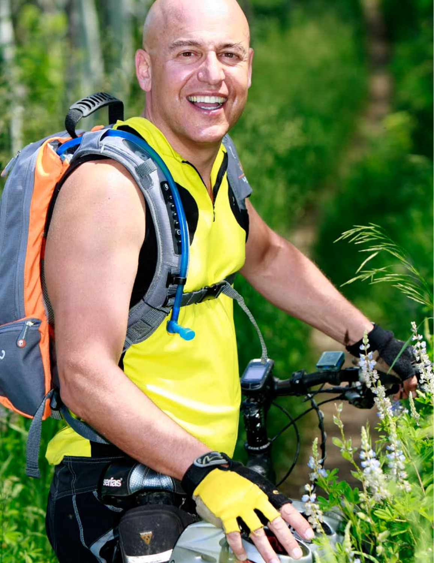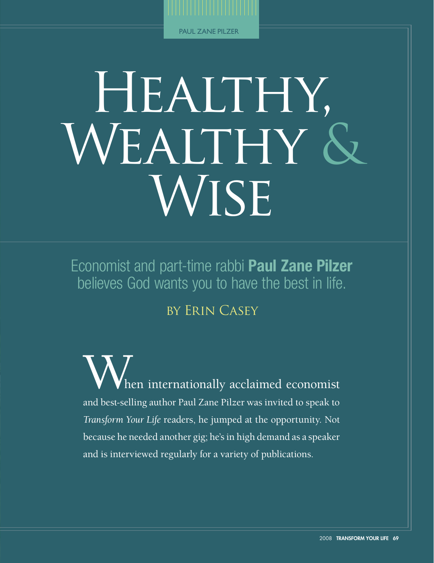

# HEALTHY, WEALTHY & WISE

Economist and part-time rabbi Paul Zane Pilzer believes God wants you to have the best in life.

### by Erin Casey

hen internationally acclaimed economist and best-selling author Paul Zane Pilzer was invited to speak to *Transform Your Life* readers, he jumped at the opportunity. Not because he needed another gig; he's in high demand as a speaker and is interviewed regularly for a variety of publications.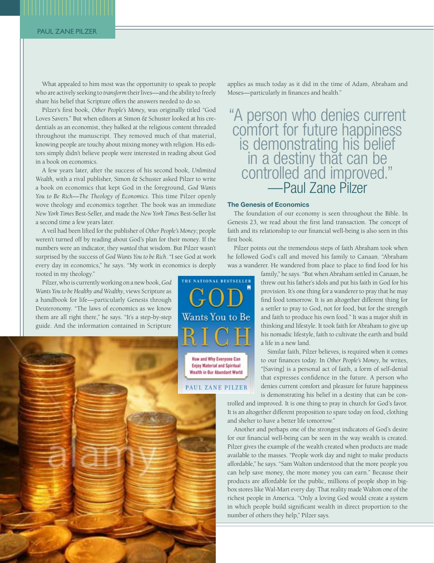What appealed to him most was the opportunity to speak to people who are actively seeking to *transform* their lives—and the ability to freely share his belief that Scripture offers the answers needed to do so.

Pilzer's first book, *Other People's Money,* was originally titled "God Loves Savers." But when editors at Simon & Schuster looked at his credentials as an economist, they balked at the religious content threaded throughout the manuscript. They removed much of that material, knowing people are touchy about mixing money with religion. His editors simply didn't believe people were interested in reading about God in a book on economics.

A few years later, after the success of his second book, *Unlimited Wealth,* with a rival publisher, Simon & Schuster asked Pilzer to write a book on economics that kept God in the foreground, *God Wants You to Be Rich—The Theology of Economics*. This time Pilzer openly wove theology and economics together. The book was an immediate *New York Times* Best-Seller, and made the *New York Times* Best-Seller list a second time a few years later.

A veil had been lifted for the publisher of *Other People's Money*; people weren't turned off by reading about God's plan for their money. If the numbers were an indicator, they *wanted* that wisdom. But Pilzer wasn't surprised by the success of *God Wants You to be Rich*. "I see God at work every day in economics," he says. "My work in economics is deeply rooted in my theology."

Pilzer, who is currently working on a new book, *God Wants You to be Healthy and Wealthy*, views Scripture as a handbook for life—particularly Genesis through Deuteronomy. "The laws of economics as we know them are all right there," he says. "It's a step-by-step guide. And the information contained in Scripture



applies as much today as it did in the time of Adam, Abraham and Moses—particularly in finances and health."

"A person who denies current comfort for future happiness is demonstrating his belief in a destiny that can be controlled and improved." —Paul Zane Pilzer

#### The Genesis of Economics

The foundation of our economy is seen throughout the Bible. In Genesis 23, we read about the first land transaction. The concept of faith and its relationship to our financial well-being is also seen in this first book.

Pilzer points out the tremendous steps of faith Abraham took when he followed God's call and moved his family to Canaan. "Abraham was a wanderer. He wandered from place to place to find food for his

> family," he says. "But when Abraham settled in Canaan, he threw out his father's idols and put his faith in God for his provision. It's one thing for a wanderer to pray that he may find food tomorrow. It is an altogether different thing for a settler to pray to God, not for food, but for the strength and faith to produce his own food." It was a major shift in thinking and lifestyle. It took faith for Abraham to give up his nomadic lifestyle, faith to cultivate the earth and build a life in a new land.

> Similar faith, Pilzer believes, is required when it comes to our finances today. In *Other People's Money*, he writes, "[Saving] is a personal act of faith, a form of self-denial that expresses confidence in the future. A person who denies current comfort and pleasure for future happiness is demonstrating his belief in a destiny that can be con-

trolled and improved. It is one thing to pray in church for God's favor. It is an altogether different proposition to spare today on food, clothing and shelter to have a better life tomorrow."

Another and perhaps one of the strongest indicators of God's desire for our financial well-being can be seen in the way wealth is created. Pilzer gives the example of the wealth created when products are made available to the masses. "People work day and night to make products affordable," he says. "Sam Walton understood that the more people you can help save money, the more money you can earn." Because their products are affordable for the public, millions of people shop in bigbox stores like Wal-Mart every day. That reality made Walton one of the richest people in America. "Only a loving God would create a system in which people build significant wealth in direct proportion to the number of others they help," Pilzer says.



**Enjoy Material and Spiritual** Wealth in Our Abundant World

PAUL ZANE PILZER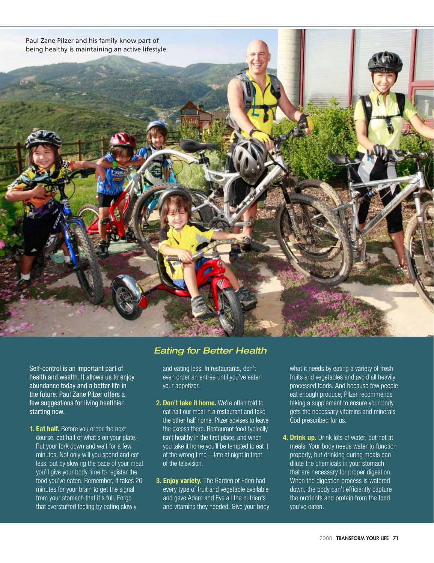

Self-control is an important part of health and wealth. It allows us to enjoy abundance today and a better life in the future. Paul Zane Pilzer offers a few suggestions for living healthier, starting now.

1. Eat half. Before you order the next course, eat half of what's on your plate. Put your fork down and wait for a few minutes. Not only will you spend and eat less, but by slowing the pace of your meal you'll give your body time to register the food you've eaten. Remember, it takes 20 minutes for your brain to get the signal from your stomach that it's full. Forgo that overstuffed feeling by eating slowly

#### *Eating for Better Health*

and eating less. In restaurants, don't even order an entrée until you've eaten your appetizer.

- 2. Don't take it home. We're often told to eat half our meal in a restaurant and take the other half home. Pilzer advises to leave the excess there. Restaurant food typically isn't healthy in the first place, and when you take it home you'll be tempted to eat it at the wrong time—late at night in front of the television.
- 3. **Enjoy variety.** The Garden of Eden had every type of fruit and vegetable available and gave Adam and Eve all the nutrients and vitamins they needed. Give your body

what it needs by eating a variety of fresh fruits and vegetables and avoid all heavily processed foods. And because few people eat enough produce, Pilzer recommends taking a supplement to ensure your body gets the necessary vitamins and minerals God prescribed for us.

4. Drink up. Drink lots of water, but not at meals. Your body needs water to function properly, but drinking during meals can dilute the chemicals in your stomach that are necessary for proper digestion. When the digestion process is watered down, the body can't efficiently capture the nutrients and protein from the food you've eaten.